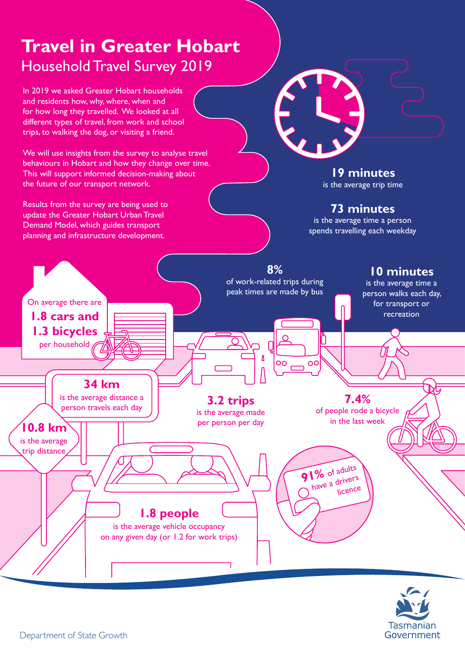# **Travel in Greater Hobart** Household Travel Survey 2019

In 2019 we asked Greater Hobart households and residents how, why, where, when and for how long they travelled. We looked at all different types of travel, from work and school trips, to walking the dog, or visiting a friend.

We will use insights from the survey to analyse travel behaviours in Hobart and how they change over time. This will support informed decision-making about the future of our transport network.

Results from the survey are being used to update the Greater Hobart Urban Travel Demand Model, which guides transport planning and infrastructure development.

**19 minutes** is the average trip time

#### **73 minutes**

is the average time a person spends travelling each weekday